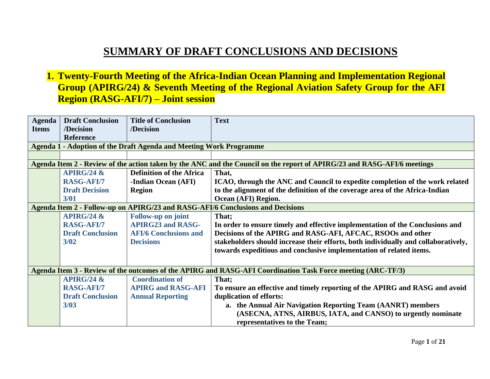## **SUMMARY OF DRAFT CONCLUSIONS AND DECISIONS**

**1. Twenty-Fourth Meeting of the Africa-Indian Ocean Planning and Implementation Regional Group (APIRG/24) & Seventh Meeting of the Regional Aviation Safety Group for the AFI Region (RASG-AFI/7) – Joint session**

| <b>Agenda</b> | <b>Draft Conclusion</b> | <b>Title of Conclusion</b>                                         | <b>Text</b>                                                                                                             |
|---------------|-------------------------|--------------------------------------------------------------------|-------------------------------------------------------------------------------------------------------------------------|
| <b>Items</b>  | /Decision               | /Decision                                                          |                                                                                                                         |
|               | <b>Reference</b>        |                                                                    |                                                                                                                         |
|               |                         | Agenda 1 - Adoption of the Draft Agenda and Meeting Work Programme |                                                                                                                         |
|               |                         |                                                                    |                                                                                                                         |
|               |                         |                                                                    | Agenda Item 2 - Review of the action taken by the ANC and the Council on the report of APIRG/23 and RASG-AFI/6 meetings |
|               | APIRG/24 $\&$           | <b>Definition of the Africa</b>                                    | That,                                                                                                                   |
|               | <b>RASG-AFI/7</b>       | <b>-Indian Ocean (AFI)</b>                                         | ICAO, through the ANC and Council to expedite completion of the work related                                            |
|               | <b>Draft Decision</b>   | <b>Region</b>                                                      | to the alignment of the definition of the coverage area of the Africa-Indian                                            |
|               | 3/01                    |                                                                    | Ocean (AFI) Region.                                                                                                     |
|               |                         |                                                                    | Agenda Item 2 - Follow-up on APIRG/23 and RASG-AFI/6 Conclusions and Decisions                                          |
|               | APIRG/24 $\&$           | <b>Follow-up on joint</b>                                          | That;                                                                                                                   |
|               | <b>RASG-AFI/7</b>       | <b>APIRG23 and RASG-</b>                                           | In order to ensure timely and effective implementation of the Conclusions and                                           |
|               | <b>Draft Conclusion</b> | <b>AFI/6 Conclusions and</b>                                       | Decisions of the APIRG and RASG-AFI, AFCAC, RSOOs and other                                                             |
|               | $3/02$                  | <b>Decisions</b>                                                   | stakeholders should increase their efforts, both individually and collaboratively,                                      |
|               |                         |                                                                    | towards expeditious and conclusive implementation of related items.                                                     |
|               |                         |                                                                    |                                                                                                                         |
|               |                         |                                                                    | Agenda Item 3 - Review of the outcomes of the APIRG and RASG-AFI Coordination Task Force meeting (ARC-TF/3)             |
|               | APIRG/24 $\&$           | <b>Coordination of</b>                                             | That;                                                                                                                   |
|               | <b>RASG-AFI/7</b>       | <b>APIRG and RASG-AFI</b>                                          | To ensure an effective and timely reporting of the APIRG and RASG and avoid                                             |
|               | <b>Draft Conclusion</b> | <b>Annual Reporting</b>                                            | duplication of efforts:                                                                                                 |
|               | 3/03                    |                                                                    | a. the Annual Air Navigation Reporting Team (AANRT) members                                                             |
|               |                         |                                                                    | (ASECNA, ATNS, AIRBUS, IATA, and CANSO) to urgently nominate                                                            |
|               |                         |                                                                    | representatives to the Team;                                                                                            |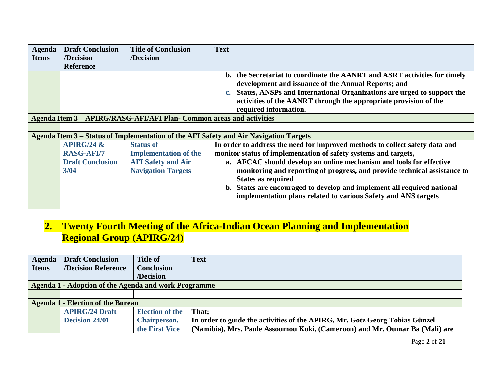| <b>Agenda</b> | <b>Draft Conclusion</b>                                               | <b>Title of Conclusion</b>                                                                                 | <b>Text</b>                                                                                                                                                                                                                                                                                                                                                                                                                                                                   |
|---------------|-----------------------------------------------------------------------|------------------------------------------------------------------------------------------------------------|-------------------------------------------------------------------------------------------------------------------------------------------------------------------------------------------------------------------------------------------------------------------------------------------------------------------------------------------------------------------------------------------------------------------------------------------------------------------------------|
| <b>Items</b>  | /Decision                                                             | /Decision                                                                                                  |                                                                                                                                                                                                                                                                                                                                                                                                                                                                               |
|               | <b>Reference</b>                                                      |                                                                                                            |                                                                                                                                                                                                                                                                                                                                                                                                                                                                               |
|               |                                                                       |                                                                                                            | b. the Secretariat to coordinate the AANRT and ASRT activities for timely<br>development and issuance of the Annual Reports; and<br>States, ANSPs and International Organizations are urged to support the<br>$c_{\bullet}$<br>activities of the AANRT through the appropriate provision of the<br>required information.                                                                                                                                                      |
|               |                                                                       | Agenda Item 3 - APIRG/RASG-AFI/AFI Plan- Common areas and activities                                       |                                                                                                                                                                                                                                                                                                                                                                                                                                                                               |
|               |                                                                       |                                                                                                            |                                                                                                                                                                                                                                                                                                                                                                                                                                                                               |
|               |                                                                       |                                                                                                            | Agenda Item 3 – Status of Implementation of the AFI Safety and Air Navigation Targets                                                                                                                                                                                                                                                                                                                                                                                         |
|               | APIRG/24 $\&$<br><b>RASG-AFI/7</b><br><b>Draft Conclusion</b><br>3/04 | <b>Status of</b><br><b>Implementation of the</b><br><b>AFI Safety and Air</b><br><b>Navigation Targets</b> | In order to address the need for improved methods to collect safety data and<br>monitor status of implementation of safety systems and targets,<br>a. AFCAC should develop an online mechanism and tools for effective<br>monitoring and reporting of progress, and provide technical assistance to<br><b>States as required</b><br>b. States are encouraged to develop and implement all required national<br>implementation plans related to various Safety and ANS targets |

## **2. Twenty Fourth Meeting of the Africa-Indian Ocean Planning and Implementation Regional Group (APIRG/24)**

| Agenda       | <b>Draft Conclusion</b>                              | <b>Title of</b>        | <b>Text</b>                                                                 |  |  |
|--------------|------------------------------------------------------|------------------------|-----------------------------------------------------------------------------|--|--|
| <b>Items</b> | <b>/Decision Reference</b>                           | <b>Conclusion</b>      |                                                                             |  |  |
|              |                                                      | /Decision              |                                                                             |  |  |
|              | Agenda 1 - Adoption of the Agenda and work Programme |                        |                                                                             |  |  |
|              |                                                      |                        |                                                                             |  |  |
|              | <b>Agenda 1 - Election of the Bureau</b>             |                        |                                                                             |  |  |
|              | <b>APIRG/24 Draft</b>                                | <b>Election of the</b> | That:                                                                       |  |  |
|              | <b>Decision 24/01</b>                                | Chairperson,           | In order to guide the activities of the APIRG, Mr. Gotz Georg Tobias Günzel |  |  |
|              |                                                      | the First Vice         | (Namibia), Mrs. Paule Assoumou Koki, (Cameroon) and Mr. Oumar Ba (Mali) are |  |  |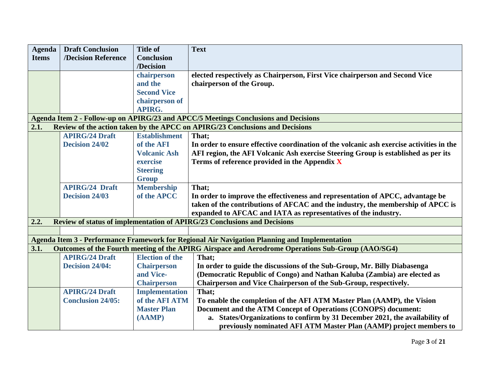| <b>Agenda</b> | <b>Draft Conclusion</b>  | <b>Title of</b>        | <b>Text</b>                                                                                       |
|---------------|--------------------------|------------------------|---------------------------------------------------------------------------------------------------|
| <b>Items</b>  | /Decision Reference      | <b>Conclusion</b>      |                                                                                                   |
|               |                          | /Decision              |                                                                                                   |
|               |                          | chairperson            | elected respectively as Chairperson, First Vice chairperson and Second Vice                       |
|               |                          | and the                | chairperson of the Group.                                                                         |
|               |                          | <b>Second Vice</b>     |                                                                                                   |
|               |                          | chairperson of         |                                                                                                   |
|               |                          | <b>APIRG.</b>          |                                                                                                   |
|               |                          |                        | Agenda Item 2 - Follow-up on APIRG/23 and APCC/5 Meetings Conclusions and Decisions               |
| 2.1.          |                          |                        | Review of the action taken by the APCC on APIRG/23 Conclusions and Decisions                      |
|               | <b>APIRG/24 Draft</b>    | <b>Establishment</b>   | That;                                                                                             |
|               | <b>Decision 24/02</b>    | of the AFI             | In order to ensure effective coordination of the volcanic ash exercise activities in the          |
|               |                          | <b>Volcanic Ash</b>    | AFI region, the AFI Volcanic Ash exercise Steering Group is established as per its                |
|               |                          | exercise               | Terms of reference provided in the Appendix X                                                     |
|               |                          | <b>Steering</b>        |                                                                                                   |
|               |                          | <b>Group</b>           |                                                                                                   |
|               | <b>APIRG/24 Draft</b>    | <b>Membership</b>      | That:                                                                                             |
|               | <b>Decision 24/03</b>    | of the APCC            | In order to improve the effectiveness and representation of APCC, advantage be                    |
|               |                          |                        | taken of the contributions of AFCAC and the industry, the membership of APCC is                   |
|               |                          |                        | expanded to AFCAC and IATA as representatives of the industry.                                    |
| 2.2.          |                          |                        | Review of status of implementation of APIRG/23 Conclusions and Decisions                          |
|               |                          |                        |                                                                                                   |
|               |                          |                        | Agenda Item 3 - Performance Framework for Regional Air Navigation Planning and Implementation     |
| 3.1.          |                          |                        | Outcomes of the Fourth meeting of the APIRG Airspace and Aerodrome Operations Sub-Group (AAO/SG4) |
|               | <b>APIRG/24 Draft</b>    | <b>Election of the</b> | That;                                                                                             |
|               | Decision 24/04:          | <b>Chairperson</b>     | In order to guide the discussions of the Sub-Group, Mr. Billy Diabasenga                          |
|               |                          | and Vice-              | (Democratic Republic of Congo) and Nathan Kaluba (Zambia) are elected as                          |
|               |                          | <b>Chairperson</b>     | Chairperson and Vice Chairperson of the Sub-Group, respectively.                                  |
|               | <b>APIRG/24 Draft</b>    | <b>Implementation</b>  | That;                                                                                             |
|               | <b>Conclusion 24/05:</b> | of the AFI ATM         | To enable the completion of the AFI ATM Master Plan (AAMP), the Vision                            |
|               |                          | <b>Master Plan</b>     | Document and the ATM Concept of Operations (CONOPS) document:                                     |
|               |                          | (AAMP)                 | a. States/Organizations to confirm by 31 December 2021, the availability of                       |
|               |                          |                        | previously nominated AFI ATM Master Plan (AAMP) project members to                                |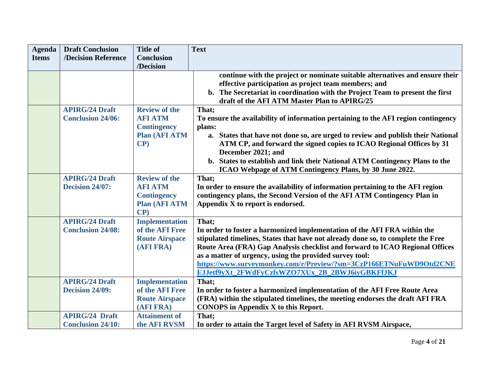| <b>Agenda</b> | <b>Draft Conclusion</b>                           | <b>Title of</b>                                                                            | <b>Text</b>                                                                                                                                                                                                                                                                                                                                                                                                                               |
|---------------|---------------------------------------------------|--------------------------------------------------------------------------------------------|-------------------------------------------------------------------------------------------------------------------------------------------------------------------------------------------------------------------------------------------------------------------------------------------------------------------------------------------------------------------------------------------------------------------------------------------|
| <b>Items</b>  | /Decision Reference                               | <b>Conclusion</b>                                                                          |                                                                                                                                                                                                                                                                                                                                                                                                                                           |
|               |                                                   | /Decision                                                                                  |                                                                                                                                                                                                                                                                                                                                                                                                                                           |
|               |                                                   |                                                                                            | continue with the project or nominate suitable alternatives and ensure their<br>effective participation as project team members; and<br>b. The Secretariat in coordination with the Project Team to present the first<br>draft of the AFI ATM Master Plan to APIRG/25                                                                                                                                                                     |
|               | <b>APIRG/24 Draft</b><br><b>Conclusion 24/06:</b> | <b>Review of the</b><br><b>AFI ATM</b><br><b>Contingency</b><br><b>Plan (AFI ATM</b><br>CP | That;<br>To ensure the availability of information pertaining to the AFI region contingency<br>plans:<br>a. States that have not done so, are urged to review and publish their National<br>ATM CP, and forward the signed copies to ICAO Regional Offices by 31<br>December 2021; and<br>b. States to establish and link their National ATM Contingency Plans to the<br>ICAO Webpage of ATM Contingency Plans, by 30 June 2022.          |
|               | <b>APIRG/24 Draft</b><br><b>Decision 24/07:</b>   | <b>Review of the</b><br><b>AFI ATM</b><br><b>Contingency</b><br><b>Plan (AFI ATM</b><br>CP | That;<br>In order to ensure the availability of information pertaining to the AFI region<br>contingency plans, the Second Version of the AFI ATM Contingency Plan in<br>Appendix X to report is endorsed.                                                                                                                                                                                                                                 |
|               | <b>APIRG/24 Draft</b><br><b>Conclusion 24/08:</b> | <b>Implementation</b><br>of the AFI Free<br><b>Route Airspace</b><br>(AFI FRA)             | That:<br>In order to foster a harmonized implementation of the AFI FRA within the<br>stipulated timelines, States that have not already done so, to complete the Free<br>Route Area (FRA) Gap Analysis checklist and forward to ICAO Regional Offices<br>as a matter of urgency, using the provided survey tool:<br>https://www.surveymonkey.com/r/Preview/?sm=3CzP166ETNuFuWD9Otd2CNE<br>EJJetf9yXt_2FWdFyCzfsWZO7XUx_2B_2BWJ6iyGBKFfJKJ |
|               | <b>APIRG/24 Draft</b><br>Decision 24/09:          | <b>Implementation</b><br>of the AFI Free<br><b>Route Airspace</b><br>(AFI FRA)             | That;<br>In order to foster a harmonized implementation of the AFI Free Route Area<br>(FRA) within the stipulated timelines, the meeting endorses the draft AFI FRA<br>CONOPS in Appendix X to this Report.                                                                                                                                                                                                                               |
|               | <b>APIRG/24 Draft</b><br><b>Conclusion 24/10:</b> | <b>Attainment of</b><br>the AFI RVSM                                                       | That:<br>In order to attain the Target level of Safety in AFI RVSM Airspace,                                                                                                                                                                                                                                                                                                                                                              |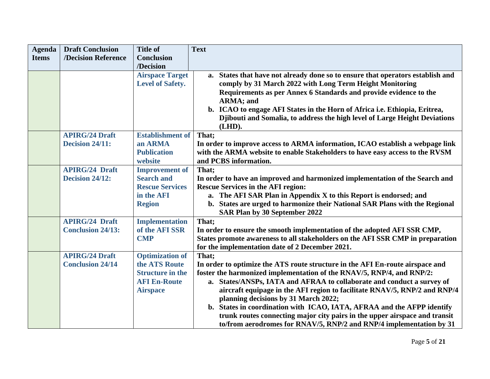| <b>Agenda</b> | <b>Draft Conclusion</b>  | <b>Title of</b>         | <b>Text</b>                                                                    |
|---------------|--------------------------|-------------------------|--------------------------------------------------------------------------------|
| <b>Items</b>  | /Decision Reference      | <b>Conclusion</b>       |                                                                                |
|               |                          | /Decision               |                                                                                |
|               |                          | <b>Airspace Target</b>  | a. States that have not already done so to ensure that operators establish and |
|               |                          | <b>Level of Safety.</b> | comply by 31 March 2022 with Long Term Height Monitoring                       |
|               |                          |                         | Requirements as per Annex 6 Standards and provide evidence to the              |
|               |                          |                         | ARMA; and                                                                      |
|               |                          |                         | b. ICAO to engage AFI States in the Horn of Africa i.e. Ethiopia, Eritrea,     |
|               |                          |                         | Djibouti and Somalia, to address the high level of Large Height Deviations     |
|               |                          |                         | (LHD).                                                                         |
|               | <b>APIRG/24 Draft</b>    | <b>Establishment of</b> | That;                                                                          |
|               | Decision 24/11:          | an ARMA                 | In order to improve access to ARMA information, ICAO establish a webpage link  |
|               |                          | <b>Publication</b>      | with the ARMA website to enable Stakeholders to have easy access to the RVSM   |
|               |                          | website                 | and PCBS information.                                                          |
|               | <b>APIRG/24 Draft</b>    | <b>Improvement of</b>   | That;                                                                          |
|               | Decision 24/12:          | <b>Search and</b>       | In order to have an improved and harmonized implementation of the Search and   |
|               |                          | <b>Rescue Services</b>  | <b>Rescue Services in the AFI region:</b>                                      |
|               |                          | in the AFI              | a. The AFI SAR Plan in Appendix X to this Report is endorsed; and              |
|               |                          | <b>Region</b>           | b. States are urged to harmonize their National SAR Plans with the Regional    |
|               |                          |                         | SAR Plan by 30 September 2022                                                  |
|               | <b>APIRG/24 Draft</b>    | <b>Implementation</b>   | That;                                                                          |
|               | <b>Conclusion 24/13:</b> | of the AFI SSR          | In order to ensure the smooth implementation of the adopted AFI SSR CMP,       |
|               |                          | <b>CMP</b>              | States promote awareness to all stakeholders on the AFI SSR CMP in preparation |
|               |                          |                         | for the implementation date of 2 December 2021.                                |
|               | <b>APIRG/24 Draft</b>    | <b>Optimization of</b>  | That;                                                                          |
|               | <b>Conclusion 24/14</b>  | the ATS Route           | In order to optimize the ATS route structure in the AFI En-route airspace and  |
|               |                          | <b>Structure in the</b> | foster the harmonized implementation of the RNAV/5, RNP/4, and RNP/2:          |
|               |                          | <b>AFI En-Route</b>     | a. States/ANSPs, IATA and AFRAA to collaborate and conduct a survey of         |
|               |                          | <b>Airspace</b>         | aircraft equipage in the AFI region to facilitate RNAV/5, RNP/2 and RNP/4      |
|               |                          |                         | planning decisions by 31 March 2022;                                           |
|               |                          |                         | b. States in coordination with ICAO, IATA, AFRAA and the AFPP identify         |
|               |                          |                         | trunk routes connecting major city pairs in the upper airspace and transit     |
|               |                          |                         | to/from aerodromes for RNAV/5, RNP/2 and RNP/4 implementation by 31            |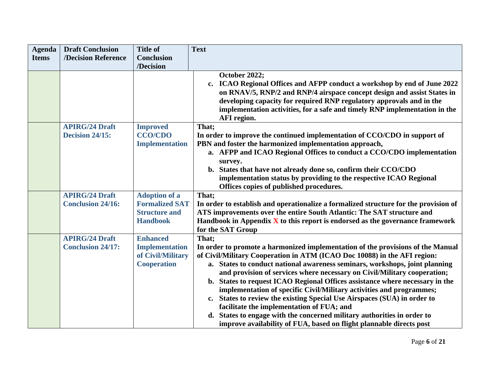| <b>Agenda</b> | <b>Draft Conclusion</b>                           | <b>Title of</b>                                                                          | <b>Text</b>                                                                                                                                                                                                                                                                                                                                                                                                                                                                                                                                                                                                                                                                                                                                                                      |
|---------------|---------------------------------------------------|------------------------------------------------------------------------------------------|----------------------------------------------------------------------------------------------------------------------------------------------------------------------------------------------------------------------------------------------------------------------------------------------------------------------------------------------------------------------------------------------------------------------------------------------------------------------------------------------------------------------------------------------------------------------------------------------------------------------------------------------------------------------------------------------------------------------------------------------------------------------------------|
| <b>Items</b>  | /Decision Reference                               | <b>Conclusion</b>                                                                        |                                                                                                                                                                                                                                                                                                                                                                                                                                                                                                                                                                                                                                                                                                                                                                                  |
|               |                                                   | /Decision                                                                                |                                                                                                                                                                                                                                                                                                                                                                                                                                                                                                                                                                                                                                                                                                                                                                                  |
|               |                                                   |                                                                                          | October 2022;<br>c. ICAO Regional Offices and AFPP conduct a workshop by end of June 2022<br>on RNAV/5, RNP/2 and RNP/4 airspace concept design and assist States in<br>developing capacity for required RNP regulatory approvals and in the<br>implementation activities, for a safe and timely RNP implementation in the<br><b>AFI</b> region.                                                                                                                                                                                                                                                                                                                                                                                                                                 |
|               | <b>APIRG/24 Draft</b><br>Decision 24/15:          | <b>Improved</b><br><b>CCO/CDO</b><br><b>Implementation</b>                               | That;<br>In order to improve the continued implementation of CCO/CDO in support of<br>PBN and foster the harmonized implementation approach,<br>a. AFPP and ICAO Regional Offices to conduct a CCO/CDO implementation<br>survey.<br>b. States that have not already done so, confirm their CCO/CDO<br>implementation status by providing to the respective ICAO Regional<br>Offices copies of published procedures.                                                                                                                                                                                                                                                                                                                                                              |
|               | <b>APIRG/24 Draft</b><br><b>Conclusion 24/16:</b> | <b>Adoption of a</b><br><b>Formalized SAT</b><br><b>Structure and</b><br><b>Handbook</b> | That;<br>In order to establish and operationalize a formalized structure for the provision of<br>ATS improvements over the entire South Atlantic: The SAT structure and<br>Handbook in Appendix $\bar{X}$ to this report is endorsed as the governance framework<br>for the SAT Group                                                                                                                                                                                                                                                                                                                                                                                                                                                                                            |
|               | <b>APIRG/24 Draft</b><br><b>Conclusion 24/17:</b> | <b>Enhanced</b><br><b>Implementation</b><br>of Civil/Military<br><b>Cooperation</b>      | That;<br>In order to promote a harmonized implementation of the provisions of the Manual<br>of Civil/Military Cooperation in ATM (ICAO Doc 10088) in the AFI region:<br>a. States to conduct national awareness seminars, workshops, joint planning<br>and provision of services where necessary on Civil/Military cooperation;<br>b. States to request ICAO Regional Offices assistance where necessary in the<br>implementation of specific Civil/Military activities and programmes;<br>States to review the existing Special Use Airspaces (SUA) in order to<br>$c_{\bullet}$<br>facilitate the implementation of FUA; and<br>d. States to engage with the concerned military authorities in order to<br>improve availability of FUA, based on flight plannable directs post |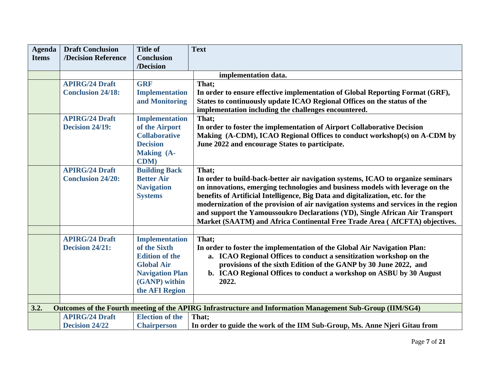| <b>Agenda</b> | <b>Draft Conclusion</b>  | <b>Title of</b>        | <b>Text</b>                                                                                                                                                           |
|---------------|--------------------------|------------------------|-----------------------------------------------------------------------------------------------------------------------------------------------------------------------|
| <b>Items</b>  | /Decision Reference      | <b>Conclusion</b>      |                                                                                                                                                                       |
|               |                          | /Decision              |                                                                                                                                                                       |
|               |                          |                        | implementation data.                                                                                                                                                  |
|               | <b>APIRG/24 Draft</b>    | <b>GRF</b>             | That;                                                                                                                                                                 |
|               | <b>Conclusion 24/18:</b> | <b>Implementation</b>  | In order to ensure effective implementation of Global Reporting Format (GRF),                                                                                         |
|               |                          | and Monitoring         | States to continuously update ICAO Regional Offices on the status of the                                                                                              |
|               |                          |                        | implementation including the challenges encountered.                                                                                                                  |
|               | <b>APIRG/24 Draft</b>    | <b>Implementation</b>  | That;                                                                                                                                                                 |
|               | Decision 24/19:          | of the Airport         | In order to foster the implementation of Airport Collaborative Decision                                                                                               |
|               |                          | <b>Collaborative</b>   | Making (A-CDM), ICAO Regional Offices to conduct workshop(s) on A-CDM by                                                                                              |
|               |                          | <b>Decision</b>        | June 2022 and encourage States to participate.                                                                                                                        |
|               |                          | <b>Making (A-</b>      |                                                                                                                                                                       |
|               |                          | <b>CDM</b> )           |                                                                                                                                                                       |
|               | <b>APIRG/24 Draft</b>    | <b>Building Back</b>   | That;                                                                                                                                                                 |
|               | <b>Conclusion 24/20:</b> | <b>Better Air</b>      | In order to build-back-better air navigation systems, ICAO to organize seminars                                                                                       |
|               |                          | <b>Navigation</b>      | on innovations, emerging technologies and business models with leverage on the                                                                                        |
|               |                          | <b>Systems</b>         | benefits of Artificial Intelligence, Big Data and digitalization, etc. for the<br>modernization of the provision of air navigation systems and services in the region |
|               |                          |                        | and support the Yamoussoukro Declarations (YD), Single African Air Transport                                                                                          |
|               |                          |                        | Market (SAATM) and Africa Continental Free Trade Area (AfCFTA) objectives.                                                                                            |
|               |                          |                        |                                                                                                                                                                       |
|               | <b>APIRG/24 Draft</b>    | <b>Implementation</b>  | That;                                                                                                                                                                 |
|               | Decision 24/21:          | of the Sixth           | In order to foster the implementation of the Global Air Navigation Plan:                                                                                              |
|               |                          | <b>Edition of the</b>  | a. ICAO Regional Offices to conduct a sensitization workshop on the                                                                                                   |
|               |                          | <b>Global Air</b>      | provisions of the sixth Edition of the GANP by 30 June 2022, and                                                                                                      |
|               |                          | <b>Navigation Plan</b> | b. ICAO Regional Offices to conduct a workshop on ASBU by 30 August                                                                                                   |
|               |                          | (GANP) within          | 2022.                                                                                                                                                                 |
|               |                          | the AFI Region         |                                                                                                                                                                       |
|               |                          |                        |                                                                                                                                                                       |
| 3.2.          |                          |                        | Outcomes of the Fourth meeting of the APIRG Infrastructure and Information Management Sub-Group (IIM/SG4)                                                             |
|               | <b>APIRG/24 Draft</b>    | <b>Election of the</b> | That:                                                                                                                                                                 |
|               | <b>Decision 24/22</b>    | <b>Chairperson</b>     | In order to guide the work of the IIM Sub-Group, Ms. Anne Njeri Gitau from                                                                                            |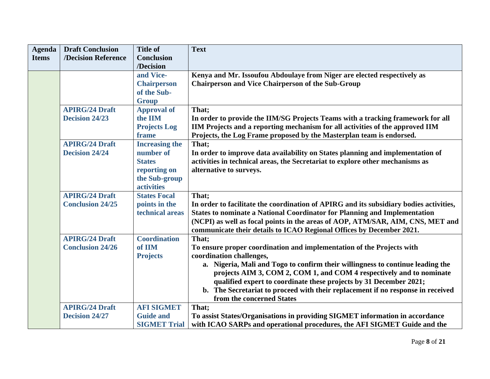| <b>Agenda</b> | <b>Draft Conclusion</b> | <b>Title of</b>       | <b>Text</b>                                                                            |
|---------------|-------------------------|-----------------------|----------------------------------------------------------------------------------------|
| <b>Items</b>  | /Decision Reference     | <b>Conclusion</b>     |                                                                                        |
|               |                         | /Decision             |                                                                                        |
|               |                         | and Vice-             | Kenya and Mr. Issoufou Abdoulaye from Niger are elected respectively as                |
|               |                         | <b>Chairperson</b>    | <b>Chairperson and Vice Chairperson of the Sub-Group</b>                               |
|               |                         | of the Sub-           |                                                                                        |
|               |                         | <b>Group</b>          |                                                                                        |
|               | <b>APIRG/24 Draft</b>   | <b>Approval of</b>    | That:                                                                                  |
|               | <b>Decision 24/23</b>   | the IIM               | In order to provide the IIM/SG Projects Teams with a tracking framework for all        |
|               |                         | <b>Projects Log</b>   | IIM Projects and a reporting mechanism for all activities of the approved IIM          |
|               |                         | frame                 | Projects, the Log Frame proposed by the Masterplan team is endorsed.                   |
|               | <b>APIRG/24 Draft</b>   | <b>Increasing the</b> | That;                                                                                  |
|               | <b>Decision 24/24</b>   | number of             | In order to improve data availability on States planning and implementation of         |
|               |                         | <b>States</b>         | activities in technical areas, the Secretariat to explore other mechanisms as          |
|               |                         | reporting on          | alternative to surveys.                                                                |
|               |                         | the Sub-group         |                                                                                        |
|               |                         | <b>activities</b>     |                                                                                        |
|               | <b>APIRG/24 Draft</b>   | <b>States Focal</b>   | That;                                                                                  |
|               | <b>Conclusion 24/25</b> | points in the         | In order to facilitate the coordination of APIRG and its subsidiary bodies activities, |
|               |                         | technical areas       | <b>States to nominate a National Coordinator for Planning and Implementation</b>       |
|               |                         |                       | (NCPI) as well as focal points in the areas of AOP, ATM/SAR, AIM, CNS, MET and         |
|               |                         |                       | communicate their details to ICAO Regional Offices by December 2021.                   |
|               | <b>APIRG/24 Draft</b>   | <b>Coordination</b>   | That;                                                                                  |
|               | <b>Conclusion 24/26</b> | of IIM                | To ensure proper coordination and implementation of the Projects with                  |
|               |                         | <b>Projects</b>       | coordination challenges,                                                               |
|               |                         |                       | a. Nigeria, Mali and Togo to confirm their willingness to continue leading the         |
|               |                         |                       | projects AIM 3, COM 2, COM 1, and COM 4 respectively and to nominate                   |
|               |                         |                       | qualified expert to coordinate these projects by 31 December 2021;                     |
|               |                         |                       | b. The Secretariat to proceed with their replacement if no response in received        |
|               |                         | <b>AFI SIGMET</b>     | from the concerned States                                                              |
|               | <b>APIRG/24 Draft</b>   |                       | That;                                                                                  |
|               | <b>Decision 24/27</b>   | <b>Guide and</b>      | To assist States/Organisations in providing SIGMET information in accordance           |
|               |                         | <b>SIGMET Trial</b>   | with ICAO SARPs and operational procedures, the AFI SIGMET Guide and the               |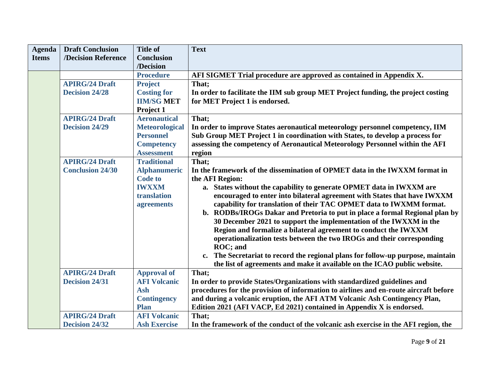| <b>Agenda</b> | <b>Draft Conclusion</b> | <b>Title of</b>       | <b>Text</b>                                                                                   |
|---------------|-------------------------|-----------------------|-----------------------------------------------------------------------------------------------|
| <b>Items</b>  | /Decision Reference     | <b>Conclusion</b>     |                                                                                               |
|               |                         | /Decision             |                                                                                               |
|               |                         | <b>Procedure</b>      | AFI SIGMET Trial procedure are approved as contained in Appendix X.                           |
|               | <b>APIRG/24 Draft</b>   | <b>Project</b>        | That;                                                                                         |
|               | <b>Decision 24/28</b>   | <b>Costing for</b>    | In order to facilitate the IIM sub group MET Project funding, the project costing             |
|               |                         | <b>IIM/SG MET</b>     | for MET Project 1 is endorsed.                                                                |
|               |                         | Project 1             |                                                                                               |
|               | <b>APIRG/24 Draft</b>   | <b>Aeronautical</b>   | That;                                                                                         |
|               | <b>Decision 24/29</b>   | <b>Meteorological</b> | In order to improve States aeronautical meteorology personnel competency, IIM                 |
|               |                         | <b>Personnel</b>      | Sub Group MET Project 1 in coordination with States, to develop a process for                 |
|               |                         | <b>Competency</b>     | assessing the competency of Aeronautical Meteorology Personnel within the AFI                 |
|               |                         | <b>Assessment</b>     | region                                                                                        |
|               | <b>APIRG/24 Draft</b>   | <b>Traditional</b>    | That;                                                                                         |
|               | <b>Conclusion 24/30</b> | <b>Alphanumeric</b>   | In the framework of the dissemination of OPMET data in the IWXXM format in                    |
|               |                         | <b>Code to</b>        | the AFI Region:                                                                               |
|               |                         | <b>IWXXM</b>          | a. States without the capability to generate OPMET data in IWXXM are                          |
|               |                         | translation           | encouraged to enter into bilateral agreement with States that have IWXXM                      |
|               |                         | agreements            | capability for translation of their TAC OPMET data to IWXMM format.                           |
|               |                         |                       | b. RODBs/IROGs Dakar and Pretoria to put in place a formal Regional plan by                   |
|               |                         |                       | 30 December 2021 to support the implementation of the IWXXM in the                            |
|               |                         |                       | Region and formalize a bilateral agreement to conduct the IWXXM                               |
|               |                         |                       | operationalization tests between the two IROGs and their corresponding                        |
|               |                         |                       | ROC; and                                                                                      |
|               |                         |                       | The Secretariat to record the regional plans for follow-up purpose, maintain<br>$c_{\bullet}$ |
|               |                         |                       | the list of agreements and make it available on the ICAO public website.                      |
|               | <b>APIRG/24 Draft</b>   | <b>Approval of</b>    | That;                                                                                         |
|               | <b>Decision 24/31</b>   | <b>AFI Volcanic</b>   | In order to provide States/Organizations with standardized guidelines and                     |
|               |                         | <b>Ash</b>            | procedures for the provision of information to airlines and en-route aircraft before          |
|               |                         | <b>Contingency</b>    | and during a volcanic eruption, the AFI ATM Volcanic Ash Contingency Plan,                    |
|               |                         | <b>Plan</b>           | Edition 2021 (AFI VACP, Ed 2021) contained in Appendix X is endorsed.                         |
|               | <b>APIRG/24 Draft</b>   | <b>AFI Volcanic</b>   | That;                                                                                         |
|               | <b>Decision 24/32</b>   | <b>Ash Exercise</b>   | In the framework of the conduct of the volcanic ash exercise in the AFI region, the           |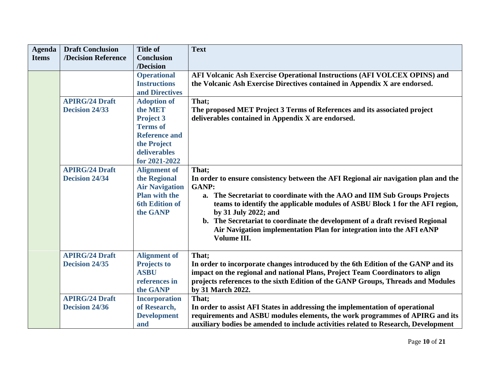| <b>Agenda</b> | <b>Draft Conclusion</b> | <b>Title of</b>       | <b>Text</b>                                                                         |
|---------------|-------------------------|-----------------------|-------------------------------------------------------------------------------------|
| <b>Items</b>  | /Decision Reference     | <b>Conclusion</b>     |                                                                                     |
|               |                         | /Decision             |                                                                                     |
|               |                         | <b>Operational</b>    | AFI Volcanic Ash Exercise Operational Instructions (AFI VOLCEX OPINS) and           |
|               |                         | <b>Instructions</b>   | the Volcanic Ash Exercise Directives contained in Appendix X are endorsed.          |
|               |                         | and Directives        |                                                                                     |
|               | <b>APIRG/24 Draft</b>   | <b>Adoption of</b>    | That:                                                                               |
|               | <b>Decision 24/33</b>   | the MET               | The proposed MET Project 3 Terms of References and its associated project           |
|               |                         | <b>Project 3</b>      | deliverables contained in Appendix X are endorsed.                                  |
|               |                         | <b>Terms of</b>       |                                                                                     |
|               |                         | <b>Reference and</b>  |                                                                                     |
|               |                         | the Project           |                                                                                     |
|               |                         | deliverables          |                                                                                     |
|               |                         | for 2021-2022         |                                                                                     |
|               | <b>APIRG/24 Draft</b>   | <b>Alignment</b> of   | That;                                                                               |
|               | <b>Decision 24/34</b>   | the Regional          | In order to ensure consistency between the AFI Regional air navigation plan and the |
|               |                         | <b>Air Navigation</b> | <b>GANP:</b>                                                                        |
|               |                         | <b>Plan with the</b>  | a. The Secretariat to coordinate with the AAO and IIM Sub Groups Projects           |
|               |                         | <b>6th Edition of</b> | teams to identify the applicable modules of ASBU Block 1 for the AFI region,        |
|               |                         | the GANP              | by 31 July 2022; and                                                                |
|               |                         |                       | b. The Secretariat to coordinate the development of a draft revised Regional        |
|               |                         |                       | Air Navigation implementation Plan for integration into the AFI eANP                |
|               |                         |                       | Volume III.                                                                         |
|               |                         |                       |                                                                                     |
|               | <b>APIRG/24 Draft</b>   | <b>Alignment of</b>   | That;                                                                               |
|               | <b>Decision 24/35</b>   | <b>Projects to</b>    | In order to incorporate changes introduced by the 6th Edition of the GANP and its   |
|               |                         | <b>ASBU</b>           | impact on the regional and national Plans, Project Team Coordinators to align       |
|               |                         | references in         | projects references to the sixth Edition of the GANP Groups, Threads and Modules    |
|               |                         | the GANP              | by 31 March 2022.                                                                   |
|               | <b>APIRG/24 Draft</b>   | <b>Incorporation</b>  | That:                                                                               |
|               | <b>Decision 24/36</b>   | of Research,          | In order to assist AFI States in addressing the implementation of operational       |
|               |                         | <b>Development</b>    | requirements and ASBU modules elements, the work programmes of APIRG and its        |
|               |                         | and                   | auxiliary bodies be amended to include activities related to Research, Development  |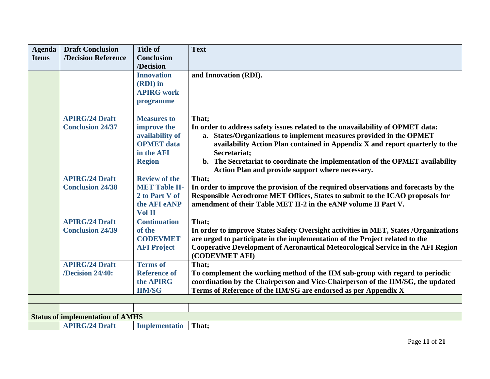| <b>Agenda</b> | <b>Draft Conclusion</b>                 | <b>Title of</b>      | <b>Text</b>                                                                          |
|---------------|-----------------------------------------|----------------------|--------------------------------------------------------------------------------------|
| <b>Items</b>  | /Decision Reference                     | <b>Conclusion</b>    |                                                                                      |
|               |                                         | /Decision            |                                                                                      |
|               |                                         | <b>Innovation</b>    | and Innovation (RDI).                                                                |
|               |                                         | (RDI) in             |                                                                                      |
|               |                                         | <b>APIRG</b> work    |                                                                                      |
|               |                                         | programme            |                                                                                      |
|               |                                         |                      |                                                                                      |
|               | <b>APIRG/24 Draft</b>                   | <b>Measures to</b>   | That;                                                                                |
|               | <b>Conclusion 24/37</b>                 | improve the          | In order to address safety issues related to the unavailability of OPMET data:       |
|               |                                         | availability of      | a. States/Organizations to implement measures provided in the OPMET                  |
|               |                                         | <b>OPMET</b> data    | availability Action Plan contained in Appendix X and report quarterly to the         |
|               |                                         | in the AFI           | Secretariat;                                                                         |
|               |                                         | <b>Region</b>        | b. The Secretariat to coordinate the implementation of the OPMET availability        |
|               |                                         |                      | Action Plan and provide support where necessary.                                     |
|               | <b>APIRG/24 Draft</b>                   | <b>Review of the</b> | That;                                                                                |
|               | <b>Conclusion 24/38</b>                 | <b>MET Table II-</b> | In order to improve the provision of the required observations and forecasts by the  |
|               |                                         | 2 to Part V of       | Responsible Aerodrome MET Offices, States to submit to the ICAO proposals for        |
|               |                                         | the AFI eANP         | amendment of their Table MET II-2 in the eANP volume II Part V.                      |
|               |                                         | Vol II               |                                                                                      |
|               | <b>APIRG/24 Draft</b>                   | <b>Continuation</b>  | That:                                                                                |
|               | <b>Conclusion 24/39</b>                 | of the               | In order to improve States Safety Oversight activities in MET, States /Organizations |
|               |                                         | <b>CODEVMET</b>      | are urged to participate in the implementation of the Project related to the         |
|               |                                         | <b>AFI Project</b>   | Cooperative Development of Aeronautical Meteorological Service in the AFI Region     |
|               |                                         |                      | (CODEVMET AFI)                                                                       |
|               | <b>APIRG/24 Draft</b>                   | <b>Terms of</b>      | That;                                                                                |
|               | /Decision 24/40:                        | <b>Reference of</b>  | To complement the working method of the IIM sub-group with regard to periodic        |
|               |                                         | the <b>APIRG</b>     | coordination by the Chairperson and Vice-Chairperson of the IIM/SG, the updated      |
|               |                                         | <b>IIM/SG</b>        | Terms of Reference of the IIM/SG are endorsed as per Appendix X                      |
|               |                                         |                      |                                                                                      |
|               |                                         |                      |                                                                                      |
|               | <b>Status of implementation of AMHS</b> |                      |                                                                                      |
|               | <b>APIRG/24 Draft</b>                   | Implementatio        | That;                                                                                |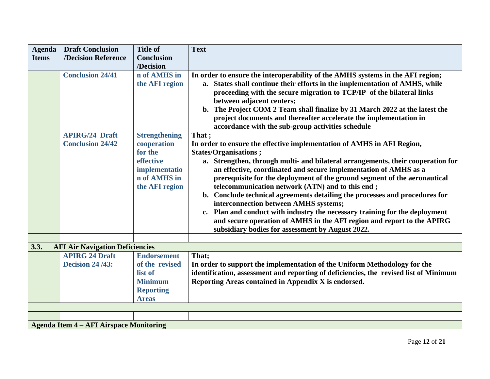| <b>Agenda</b> | <b>Draft Conclusion</b>                                         | <b>Title of</b>      | <b>Text</b>                                                                                                                                                        |  |  |
|---------------|-----------------------------------------------------------------|----------------------|--------------------------------------------------------------------------------------------------------------------------------------------------------------------|--|--|
| <b>Items</b>  | /Decision Reference                                             | <b>Conclusion</b>    |                                                                                                                                                                    |  |  |
|               |                                                                 | /Decision            |                                                                                                                                                                    |  |  |
|               | <b>Conclusion 24/41</b>                                         | n of AMHS in         | In order to ensure the interoperability of the AMHS systems in the AFI region;                                                                                     |  |  |
|               |                                                                 | the AFI region       | a. States shall continue their efforts in the implementation of AMHS, while                                                                                        |  |  |
|               |                                                                 |                      | proceeding with the secure migration to TCP/IP of the bilateral links                                                                                              |  |  |
|               |                                                                 |                      | between adjacent centers;                                                                                                                                          |  |  |
|               |                                                                 |                      | b. The Project COM 2 Team shall finalize by 31 March 2022 at the latest the                                                                                        |  |  |
|               |                                                                 |                      | project documents and thereafter accelerate the implementation in                                                                                                  |  |  |
|               |                                                                 |                      | accordance with the sub-group activities schedule                                                                                                                  |  |  |
|               | <b>APIRG/24 Draft</b>                                           | <b>Strengthening</b> | That;                                                                                                                                                              |  |  |
|               | <b>Conclusion 24/42</b>                                         | cooperation          | In order to ensure the effective implementation of AMHS in AFI Region,                                                                                             |  |  |
|               |                                                                 | for the              | <b>States/Organisations</b> ;                                                                                                                                      |  |  |
|               |                                                                 | effective            | a. Strengthen, through multi- and bilateral arrangements, their cooperation for                                                                                    |  |  |
|               |                                                                 | implementatio        | an effective, coordinated and secure implementation of AMHS as a                                                                                                   |  |  |
|               |                                                                 | n of AMHS in         | prerequisite for the deployment of the ground segment of the aeronautical                                                                                          |  |  |
|               |                                                                 | the AFI region       | telecommunication network (ATN) and to this end;                                                                                                                   |  |  |
|               |                                                                 |                      | b. Conclude technical agreements detailing the processes and procedures for                                                                                        |  |  |
|               |                                                                 |                      | interconnection between AMHS systems;                                                                                                                              |  |  |
|               |                                                                 |                      | c. Plan and conduct with industry the necessary training for the deployment                                                                                        |  |  |
|               |                                                                 |                      | and secure operation of AMHS in the AFI region and report to the APIRG                                                                                             |  |  |
|               |                                                                 |                      | subsidiary bodies for assessment by August 2022.                                                                                                                   |  |  |
| 3.3.          |                                                                 |                      |                                                                                                                                                                    |  |  |
|               | <b>AFI Air Navigation Deficiencies</b><br><b>APIRG 24 Draft</b> | <b>Endorsement</b>   | That;                                                                                                                                                              |  |  |
|               | <b>Decision 24/43:</b>                                          | of the revised       |                                                                                                                                                                    |  |  |
|               |                                                                 | list of              | In order to support the implementation of the Uniform Methodology for the<br>identification, assessment and reporting of deficiencies, the revised list of Minimum |  |  |
|               |                                                                 | <b>Minimum</b>       | Reporting Areas contained in Appendix X is endorsed.                                                                                                               |  |  |
|               |                                                                 | <b>Reporting</b>     |                                                                                                                                                                    |  |  |
|               |                                                                 | <b>Areas</b>         |                                                                                                                                                                    |  |  |
|               |                                                                 |                      |                                                                                                                                                                    |  |  |
|               |                                                                 |                      |                                                                                                                                                                    |  |  |
|               | <b>Agenda Item 4 – AFI Airspace Monitoring</b>                  |                      |                                                                                                                                                                    |  |  |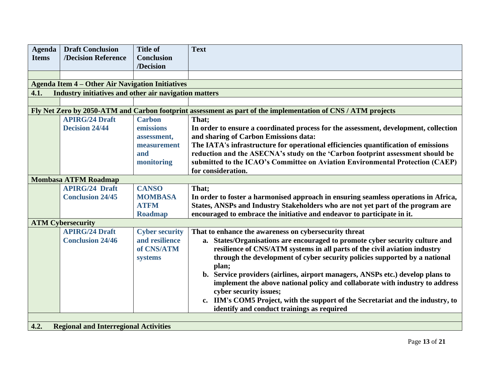| <b>Agenda</b>                                        | <b>Draft Conclusion</b>                                 | <b>Title of</b>       | <b>Text</b>                                                                                                  |  |  |
|------------------------------------------------------|---------------------------------------------------------|-----------------------|--------------------------------------------------------------------------------------------------------------|--|--|
| <b>Items</b>                                         | /Decision Reference                                     | <b>Conclusion</b>     |                                                                                                              |  |  |
|                                                      |                                                         | /Decision             |                                                                                                              |  |  |
|                                                      |                                                         |                       |                                                                                                              |  |  |
|                                                      | <b>Agenda Item 4 – Other Air Navigation Initiatives</b> |                       |                                                                                                              |  |  |
| 4.1.                                                 | Industry initiatives and other air navigation matters   |                       |                                                                                                              |  |  |
|                                                      |                                                         |                       |                                                                                                              |  |  |
|                                                      |                                                         |                       | Fly Net Zero by 2050-ATM and Carbon footprint assessment as part of the implementation of CNS / ATM projects |  |  |
|                                                      | <b>APIRG/24 Draft</b>                                   | <b>Carbon</b>         | That;                                                                                                        |  |  |
|                                                      | <b>Decision 24/44</b>                                   | emissions             | In order to ensure a coordinated process for the assessment, development, collection                         |  |  |
|                                                      |                                                         | assessment,           | and sharing of Carbon Emissions data:                                                                        |  |  |
|                                                      |                                                         | measurement           | The IATA's infrastructure for operational efficiencies quantification of emissions                           |  |  |
|                                                      |                                                         | and                   | reduction and the ASECNA's study on the 'Carbon footprint assessment should be                               |  |  |
|                                                      |                                                         | monitoring            | submitted to the ICAO's Committee on Aviation Environmental Protection (CAEP)                                |  |  |
|                                                      |                                                         |                       | for consideration.                                                                                           |  |  |
|                                                      | <b>Mombasa ATFM Roadmap</b>                             |                       |                                                                                                              |  |  |
|                                                      | <b>APIRG/24 Draft</b>                                   | <b>CANSO</b>          | That;                                                                                                        |  |  |
|                                                      | <b>Conclusion 24/45</b>                                 | <b>MOMBASA</b>        | In order to foster a harmonised approach in ensuring seamless operations in Africa,                          |  |  |
|                                                      |                                                         | <b>ATFM</b>           | States, ANSPs and Industry Stakeholders who are not yet part of the program are                              |  |  |
|                                                      |                                                         | <b>Roadmap</b>        | encouraged to embrace the initiative and endeavor to participate in it.                                      |  |  |
|                                                      | <b>ATM Cybersecurity</b>                                |                       |                                                                                                              |  |  |
|                                                      | <b>APIRG/24 Draft</b>                                   | <b>Cyber security</b> | That to enhance the awareness on cybersecurity threat                                                        |  |  |
|                                                      | <b>Conclusion 24/46</b>                                 | and resilience        | a. States/Organisations are encouraged to promote cyber security culture and                                 |  |  |
|                                                      |                                                         | of CNS/ATM            | resilience of CNS/ATM systems in all parts of the civil aviation industry                                    |  |  |
|                                                      |                                                         | systems               | through the development of cyber security policies supported by a national                                   |  |  |
|                                                      |                                                         |                       | plan;                                                                                                        |  |  |
|                                                      |                                                         |                       | b. Service providers (airlines, airport managers, ANSPs etc.) develop plans to                               |  |  |
|                                                      |                                                         |                       | implement the above national policy and collaborate with industry to address                                 |  |  |
|                                                      |                                                         |                       | cyber security issues;                                                                                       |  |  |
|                                                      |                                                         |                       | c. IIM's COM5 Project, with the support of the Secretariat and the industry, to                              |  |  |
|                                                      |                                                         |                       | identify and conduct trainings as required                                                                   |  |  |
|                                                      |                                                         |                       |                                                                                                              |  |  |
| 4.2.<br><b>Regional and Interregional Activities</b> |                                                         |                       |                                                                                                              |  |  |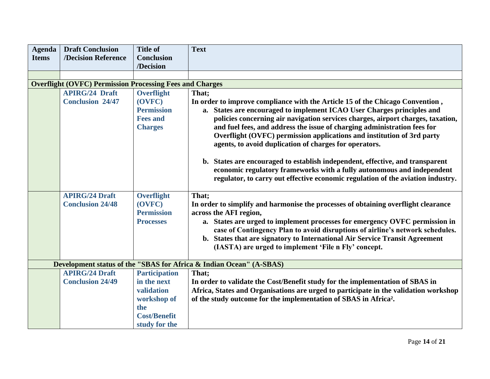| <b>Agenda</b> | <b>Draft Conclusion</b>                                         | <b>Title of</b>      | <b>Text</b>                                                                                                                                               |
|---------------|-----------------------------------------------------------------|----------------------|-----------------------------------------------------------------------------------------------------------------------------------------------------------|
| <b>Items</b>  | /Decision Reference                                             | <b>Conclusion</b>    |                                                                                                                                                           |
|               |                                                                 | /Decision            |                                                                                                                                                           |
|               |                                                                 |                      |                                                                                                                                                           |
|               | <b>Overflight (OVFC) Permission Processing Fees and Charges</b> |                      |                                                                                                                                                           |
|               | <b>APIRG/24 Draft</b>                                           | <b>Overflight</b>    | That;                                                                                                                                                     |
|               | <b>Conclusion 24/47</b>                                         | (OVFC)               | In order to improve compliance with the Article 15 of the Chicago Convention,                                                                             |
|               |                                                                 | <b>Permission</b>    | a. States are encouraged to implement ICAO User Charges principles and                                                                                    |
|               |                                                                 | <b>Fees and</b>      | policies concerning air navigation services charges, airport charges, taxation,                                                                           |
|               |                                                                 | <b>Charges</b>       | and fuel fees, and address the issue of charging administration fees for                                                                                  |
|               |                                                                 |                      | Overflight (OVFC) permission applications and institution of 3rd party                                                                                    |
|               |                                                                 |                      | agents, to avoid duplication of charges for operators.                                                                                                    |
|               |                                                                 |                      |                                                                                                                                                           |
|               |                                                                 |                      | b. States are encouraged to establish independent, effective, and transparent                                                                             |
|               |                                                                 |                      | economic regulatory frameworks with a fully autonomous and independent<br>regulator, to carry out effective economic regulation of the aviation industry. |
|               |                                                                 |                      |                                                                                                                                                           |
|               | <b>APIRG/24 Draft</b>                                           | Overflight           | That;                                                                                                                                                     |
|               | <b>Conclusion 24/48</b>                                         | (OVFC)               | In order to simplify and harmonise the processes of obtaining overflight clearance                                                                        |
|               |                                                                 | <b>Permission</b>    | across the AFI region,                                                                                                                                    |
|               |                                                                 | <b>Processes</b>     | a. States are urged to implement processes for emergency OVFC permission in                                                                               |
|               |                                                                 |                      | case of Contingency Plan to avoid disruptions of airline's network schedules.                                                                             |
|               |                                                                 |                      | b. States that are signatory to International Air Service Transit Agreement                                                                               |
|               |                                                                 |                      | (IASTA) are urged to implement 'File n Fly' concept.                                                                                                      |
|               |                                                                 |                      |                                                                                                                                                           |
|               |                                                                 |                      | Development status of the "SBAS for Africa & Indian Ocean" (A-SBAS)                                                                                       |
|               | <b>APIRG/24 Draft</b>                                           | <b>Participation</b> | That;                                                                                                                                                     |
|               | <b>Conclusion 24/49</b>                                         | in the next          | In order to validate the Cost/Benefit study for the implementation of SBAS in                                                                             |
|               |                                                                 | validation           | Africa, States and Organisations are urged to participate in the validation workshop                                                                      |
|               |                                                                 | workshop of          | of the study outcome for the implementation of SBAS in Africa <sup>2</sup> .                                                                              |
|               |                                                                 | the                  |                                                                                                                                                           |
|               |                                                                 | <b>Cost/Benefit</b>  |                                                                                                                                                           |
|               |                                                                 | study for the        |                                                                                                                                                           |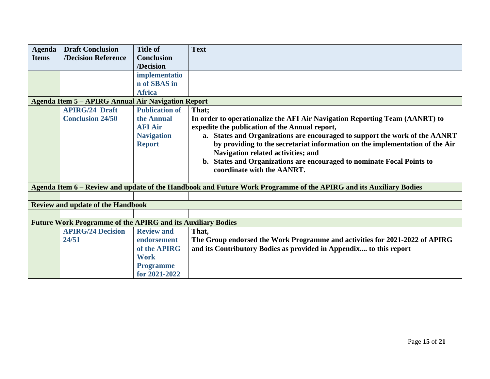| Agenda                                         | <b>Draft Conclusion</b>                                            | <b>Title of</b>   | <b>Text</b>                                                                                                       |
|------------------------------------------------|--------------------------------------------------------------------|-------------------|-------------------------------------------------------------------------------------------------------------------|
| <b>Items</b>                                   | /Decision Reference                                                | <b>Conclusion</b> |                                                                                                                   |
|                                                |                                                                    | /Decision         |                                                                                                                   |
|                                                |                                                                    | implementatio     |                                                                                                                   |
|                                                |                                                                    | n of SBAS in      |                                                                                                                   |
|                                                |                                                                    | <b>Africa</b>     |                                                                                                                   |
|                                                | <b>Agenda Item 5 - APIRG Annual Air Navigation Report</b>          |                   |                                                                                                                   |
| <b>Publication of</b><br><b>APIRG/24 Draft</b> |                                                                    |                   | That;                                                                                                             |
|                                                | <b>Conclusion 24/50</b>                                            | the Annual        | In order to operationalize the AFI Air Navigation Reporting Team (AANRT) to                                       |
|                                                |                                                                    | <b>AFI Air</b>    | expedite the publication of the Annual report,                                                                    |
|                                                |                                                                    | <b>Navigation</b> | a. States and Organizations are encouraged to support the work of the AANRT                                       |
|                                                |                                                                    | <b>Report</b>     | by providing to the secretariat information on the implementation of the Air                                      |
|                                                |                                                                    |                   | Navigation related activities; and                                                                                |
|                                                |                                                                    |                   | b. States and Organizations are encouraged to nominate Focal Points to                                            |
|                                                |                                                                    |                   | coordinate with the AANRT.                                                                                        |
|                                                |                                                                    |                   |                                                                                                                   |
|                                                |                                                                    |                   | Agenda Item 6 – Review and update of the Handbook and Future Work Programme of the APIRG and its Auxiliary Bodies |
|                                                |                                                                    |                   |                                                                                                                   |
|                                                | <b>Review and update of the Handbook</b>                           |                   |                                                                                                                   |
|                                                |                                                                    |                   |                                                                                                                   |
|                                                | <b>Future Work Programme of the APIRG and its Auxiliary Bodies</b> |                   |                                                                                                                   |
|                                                | <b>APIRG/24 Decision</b>                                           | <b>Review and</b> | That,                                                                                                             |
|                                                | 24/51                                                              | endorsement       | The Group endorsed the Work Programme and activities for 2021-2022 of APIRG                                       |
|                                                |                                                                    | of the APIRG      | and its Contributory Bodies as provided in Appendix to this report                                                |
|                                                |                                                                    | <b>Work</b>       |                                                                                                                   |
|                                                |                                                                    | <b>Programme</b>  |                                                                                                                   |
|                                                |                                                                    | for 2021-2022     |                                                                                                                   |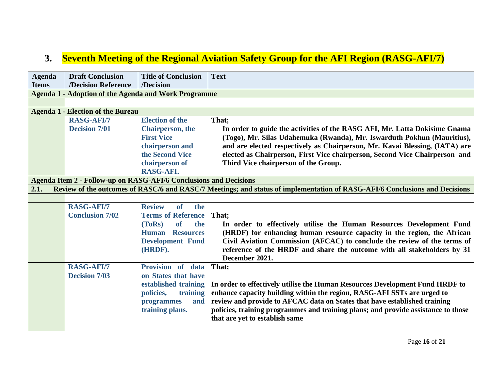## **3. Seventh Meeting of the Regional Aviation Safety Group for the AFI Region (RASG-AFI/7)**

| <b>Agenda</b>                                                            | <b>Draft Conclusion</b><br><b>/Decision Reference</b>       | <b>Title of Conclusion</b><br>/Decision | <b>Text</b>                                                                                                                |  |
|--------------------------------------------------------------------------|-------------------------------------------------------------|-----------------------------------------|----------------------------------------------------------------------------------------------------------------------------|--|
| <b>Items</b>                                                             |                                                             |                                         |                                                                                                                            |  |
|                                                                          | <b>Agenda 1 - Adoption of the Agenda and Work Programme</b> |                                         |                                                                                                                            |  |
|                                                                          |                                                             |                                         |                                                                                                                            |  |
|                                                                          | <b>Agenda 1 - Election of the Bureau</b>                    |                                         |                                                                                                                            |  |
|                                                                          | <b>RASG-AFI/7</b>                                           | <b>Election of the</b>                  | That;                                                                                                                      |  |
|                                                                          | <b>Decision 7/01</b>                                        | <b>Chairperson</b> , the                | In order to guide the activities of the RASG AFI, Mr. Latta Dokisime Gnama                                                 |  |
|                                                                          |                                                             | <b>First Vice</b>                       | (Togo), Mr. Silas Udahemuka (Rwanda), Mr. Iswarduth Pokhun (Mauritius),                                                    |  |
|                                                                          |                                                             | chairperson and                         | and are elected respectively as Chairperson, Mr. Kavai Blessing, (IATA) are                                                |  |
|                                                                          |                                                             | the Second Vice                         | elected as Chairperson, First Vice chairperson, Second Vice Chairperson and                                                |  |
|                                                                          |                                                             | chairperson of                          | Third Vice chairperson of the Group.                                                                                       |  |
|                                                                          |                                                             | RASG-AFI.                               |                                                                                                                            |  |
| <b>Agenda Item 2 - Follow-up on RASG-AFI/6 Conclusions and Decisions</b> |                                                             |                                         |                                                                                                                            |  |
| 2.1.                                                                     |                                                             |                                         | Review of the outcomes of RASC/6 and RASC/7 Meetings; and status of implementation of RASG-AFI/6 Conclusions and Decisions |  |
|                                                                          |                                                             |                                         |                                                                                                                            |  |
|                                                                          | <b>RASG-AFI/7</b>                                           | <b>Review</b><br>of<br>the              |                                                                                                                            |  |
|                                                                          | <b>Conclusion 7/02</b>                                      | <b>Terms of Reference</b>               | That;                                                                                                                      |  |
|                                                                          |                                                             | <sub>of</sub><br>the<br>(ToRs)          | In order to effectively utilise the Human Resources Development Fund                                                       |  |
|                                                                          |                                                             | Human Resources                         | (HRDF) for enhancing human resource capacity in the region, the African                                                    |  |
|                                                                          |                                                             | <b>Development Fund</b>                 | Civil Aviation Commission (AFCAC) to conclude the review of the terms of                                                   |  |
|                                                                          |                                                             | (HRDF).                                 | reference of the HRDF and share the outcome with all stakeholders by 31                                                    |  |
|                                                                          |                                                             |                                         | December 2021.                                                                                                             |  |
|                                                                          | <b>RASG-AFI/7</b>                                           | Provision of data                       | That;                                                                                                                      |  |
|                                                                          | <b>Decision 7/03</b>                                        | on States that have                     |                                                                                                                            |  |
|                                                                          |                                                             | established training                    | In order to effectively utilise the Human Resources Development Fund HRDF to                                               |  |
|                                                                          |                                                             |                                         |                                                                                                                            |  |
|                                                                          |                                                             | policies,<br>training                   | enhance capacity building within the region, RASG-AFI SSTs are urged to                                                    |  |
|                                                                          |                                                             | and<br>programmes                       | review and provide to AFCAC data on States that have established training                                                  |  |
|                                                                          |                                                             | training plans.                         | policies, training programmes and training plans; and provide assistance to those                                          |  |
|                                                                          |                                                             |                                         | that are yet to establish same                                                                                             |  |
|                                                                          |                                                             |                                         |                                                                                                                            |  |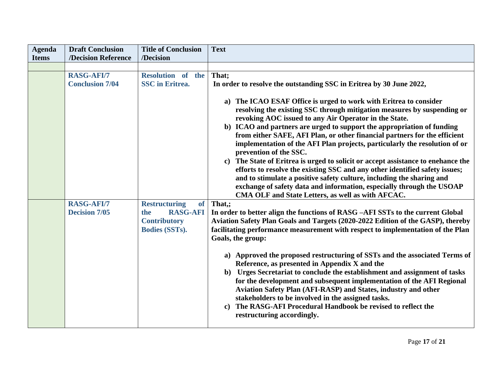| <b>Agenda</b> | <b>Draft Conclusion</b>                     | <b>Title of Conclusion</b>                                                                                  | <b>Text</b>                                                                                                                                                                                                                                                                                                                                                                                                                                                                                                                                                                                                                                                                                                                                                                                                                                    |
|---------------|---------------------------------------------|-------------------------------------------------------------------------------------------------------------|------------------------------------------------------------------------------------------------------------------------------------------------------------------------------------------------------------------------------------------------------------------------------------------------------------------------------------------------------------------------------------------------------------------------------------------------------------------------------------------------------------------------------------------------------------------------------------------------------------------------------------------------------------------------------------------------------------------------------------------------------------------------------------------------------------------------------------------------|
| <b>Items</b>  | /Decision Reference                         | /Decision                                                                                                   |                                                                                                                                                                                                                                                                                                                                                                                                                                                                                                                                                                                                                                                                                                                                                                                                                                                |
|               | <b>RASG-AFI/7</b><br><b>Conclusion 7/04</b> | Resolution of the<br><b>SSC</b> in Eritrea.                                                                 | That;<br>In order to resolve the outstanding SSC in Eritrea by 30 June 2022,                                                                                                                                                                                                                                                                                                                                                                                                                                                                                                                                                                                                                                                                                                                                                                   |
|               |                                             |                                                                                                             | a) The ICAO ESAF Office is urged to work with Eritrea to consider<br>resolving the existing SSC through mitigation measures by suspending or<br>revoking AOC issued to any Air Operator in the State.<br>b) ICAO and partners are urged to support the appropriation of funding<br>from either SAFE, AFI Plan, or other financial partners for the efficient<br>implementation of the AFI Plan projects, particularly the resolution of or<br>prevention of the SSC.<br>c) The State of Eritrea is urged to solicit or accept assistance to enchance the<br>efforts to resolve the existing SSC and any other identified safety issues;<br>and to stimulate a positive safety culture, including the sharing and<br>exchange of safety data and information, especially through the USOAP<br>CMA OLF and State Letters, as well as with AFCAC. |
|               | <b>RASG-AFI/7</b><br><b>Decision 7/05</b>   | <b>Restructuring</b><br><b>of</b><br><b>RASG-AFI</b><br>the<br><b>Contributory</b><br><b>Bodies (SSTs).</b> | That,;<br>In order to better align the functions of RASG -AFI SSTs to the current Global<br>Aviation Safety Plan Goals and Targets (2020-2022 Edition of the GASP), thereby<br>facilitating performance measurement with respect to implementation of the Plan<br>Goals, the group:<br>a) Approved the proposed restructuring of SSTs and the associated Terms of<br>Reference, as presented in Appendix X and the<br>b) Urges Secretariat to conclude the establishment and assignment of tasks<br>for the development and subsequent implementation of the AFI Regional<br>Aviation Safety Plan (AFI-RASP) and States, industry and other<br>stakeholders to be involved in the assigned tasks.<br>The RASG-AFI Procedural Handbook be revised to reflect the<br>$\mathbf{c}$<br>restructuring accordingly.                                  |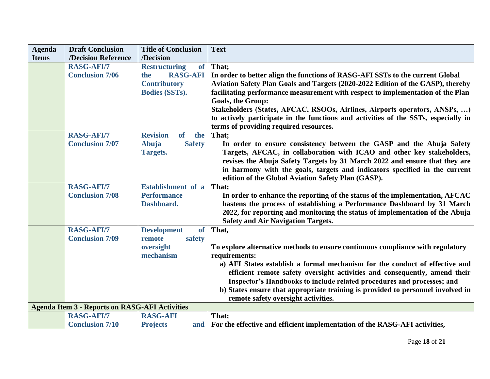| <b>Agenda</b> | <b>Draft Conclusion</b>                                                    | <b>Title of Conclusion</b>          | <b>Text</b>                                                                        |
|---------------|----------------------------------------------------------------------------|-------------------------------------|------------------------------------------------------------------------------------|
| <b>Items</b>  | /Decision Reference                                                        | /Decision                           |                                                                                    |
|               | <b>RASG-AFI/7</b>                                                          | <b>Restructuring</b><br><b>of</b>   | That;                                                                              |
|               | <b>Conclusion 7/06</b>                                                     | <b>RASG-AFI</b><br>the              | In order to better align the functions of RASG-AFI SSTs to the current Global      |
|               |                                                                            | <b>Contributory</b>                 | Aviation Safety Plan Goals and Targets (2020-2022 Edition of the GASP), thereby    |
|               |                                                                            | <b>Bodies (SSTs).</b>               | facilitating performance measurement with respect to implementation of the Plan    |
|               |                                                                            |                                     | <b>Goals, the Group:</b>                                                           |
|               |                                                                            |                                     | Stakeholders (States, AFCAC, RSOOs, Airlines, Airports operators, ANSPs, )         |
|               |                                                                            |                                     | to actively participate in the functions and activities of the SSTs, especially in |
|               |                                                                            |                                     | terms of providing required resources.                                             |
|               | <b>RASG-AFI/7</b>                                                          | <b>Revision</b><br><b>of</b><br>the | That:                                                                              |
|               | <b>Conclusion 7/07</b>                                                     | Abuja<br><b>Safety</b>              | In order to ensure consistency between the GASP and the Abuja Safety               |
|               |                                                                            | <b>Targets.</b>                     | Targets, AFCAC, in collaboration with ICAO and other key stakeholders,             |
|               |                                                                            |                                     | revises the Abuja Safety Targets by 31 March 2022 and ensure that they are         |
|               |                                                                            |                                     | in harmony with the goals, targets and indicators specified in the current         |
|               |                                                                            |                                     | edition of the Global Aviation Safety Plan (GASP).                                 |
|               | <b>RASG-AFI/7</b>                                                          | Establishment of a                  | That;                                                                              |
|               | <b>Conclusion 7/08</b>                                                     | <b>Performance</b>                  | In order to enhance the reporting of the status of the implementation, AFCAC       |
|               |                                                                            | Dashboard.                          | hastens the process of establishing a Performance Dashboard by 31 March            |
|               |                                                                            |                                     | 2022, for reporting and monitoring the status of implementation of the Abuja       |
|               |                                                                            |                                     | <b>Safety and Air Navigation Targets.</b>                                          |
|               | <b>RASG-AFI/7</b>                                                          | <b>of</b><br><b>Development</b>     | That,                                                                              |
|               | <b>Conclusion 7/09</b>                                                     | safety<br>remote                    |                                                                                    |
|               |                                                                            | oversight                           | To explore alternative methods to ensure continuous compliance with regulatory     |
|               |                                                                            | mechanism                           | requirements:                                                                      |
|               |                                                                            |                                     | a) AFI States establish a formal mechanism for the conduct of effective and        |
|               |                                                                            |                                     | efficient remote safety oversight activities and consequently, amend their         |
|               |                                                                            |                                     | Inspector's Handbooks to include related procedures and processes; and             |
|               |                                                                            |                                     | b) States ensure that appropriate training is provided to personnel involved in    |
|               |                                                                            |                                     | remote safety oversight activities.                                                |
|               | <b>Agenda Item 3 - Reports on RASG-AFI Activities</b><br><b>RASG-AFI/7</b> | <b>RASG-AFI</b>                     | That;                                                                              |
|               |                                                                            |                                     |                                                                                    |
|               | <b>Conclusion 7/10</b>                                                     | <b>Projects</b><br>and              | For the effective and efficient implementation of the RASG-AFI activities,         |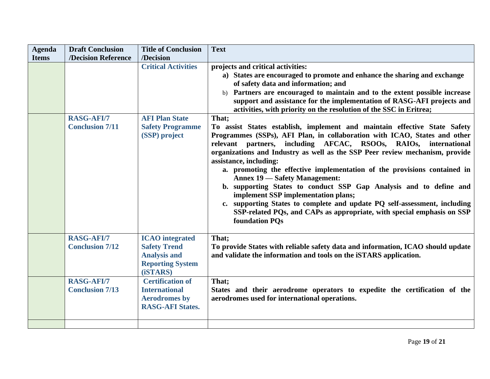| <b>Agenda</b> | <b>Draft Conclusion</b>                     | <b>Title of Conclusion</b>                                                                                  | <b>Text</b>                                                                                                                                                                                                                                                                                                                                                                                                                                                                                                                                                                                                                                                                                                                                      |
|---------------|---------------------------------------------|-------------------------------------------------------------------------------------------------------------|--------------------------------------------------------------------------------------------------------------------------------------------------------------------------------------------------------------------------------------------------------------------------------------------------------------------------------------------------------------------------------------------------------------------------------------------------------------------------------------------------------------------------------------------------------------------------------------------------------------------------------------------------------------------------------------------------------------------------------------------------|
| <b>Items</b>  | /Decision Reference                         | /Decision                                                                                                   |                                                                                                                                                                                                                                                                                                                                                                                                                                                                                                                                                                                                                                                                                                                                                  |
|               |                                             | <b>Critical Activities</b>                                                                                  | projects and critical activities:<br>a) States are encouraged to promote and enhance the sharing and exchange<br>of safety data and information; and<br>b) Partners are encouraged to maintain and to the extent possible increase<br>support and assistance for the implementation of RASG-AFI projects and<br>activities, with priority on the resolution of the SSC in Eritrea;                                                                                                                                                                                                                                                                                                                                                               |
|               | <b>RASG-AFI/7</b>                           | <b>AFI Plan State</b>                                                                                       | That;                                                                                                                                                                                                                                                                                                                                                                                                                                                                                                                                                                                                                                                                                                                                            |
|               | <b>Conclusion 7/11</b>                      | <b>Safety Programme</b><br>(SSP) project                                                                    | To assist States establish, implement and maintain effective State Safety<br>Programmes (SSPs), AFI Plan, in collaboration with ICAO, States and other<br>partners, including AFCAC, RSOOs, RAIOs, international<br>relevant<br>organizations and Industry as well as the SSP Peer review mechanism, provide<br>assistance, including:<br>a. promoting the effective implementation of the provisions contained in<br><b>Annex 19 — Safety Management:</b><br>b. supporting States to conduct SSP Gap Analysis and to define and<br>implement SSP implementation plans;<br>c. supporting States to complete and update PQ self-assessment, including<br>SSP-related PQs, and CAPs as appropriate, with special emphasis on SSP<br>foundation POs |
|               | <b>RASG-AFI/7</b><br><b>Conclusion 7/12</b> | <b>ICAO</b> integrated<br><b>Safety Trend</b><br><b>Analysis and</b><br><b>Reporting System</b><br>(iSTARS) | That;<br>To provide States with reliable safety data and information, ICAO should update<br>and validate the information and tools on the iSTARS application.                                                                                                                                                                                                                                                                                                                                                                                                                                                                                                                                                                                    |
|               | RASG-AFI/7<br><b>Conclusion 7/13</b>        | <b>Certification of</b><br><b>International</b><br><b>Aerodromes</b> by<br><b>RASG-AFI States.</b>          | That:<br>States and their aerodrome operators to expedite the certification of the<br>aerodromes used for international operations.                                                                                                                                                                                                                                                                                                                                                                                                                                                                                                                                                                                                              |
|               |                                             |                                                                                                             |                                                                                                                                                                                                                                                                                                                                                                                                                                                                                                                                                                                                                                                                                                                                                  |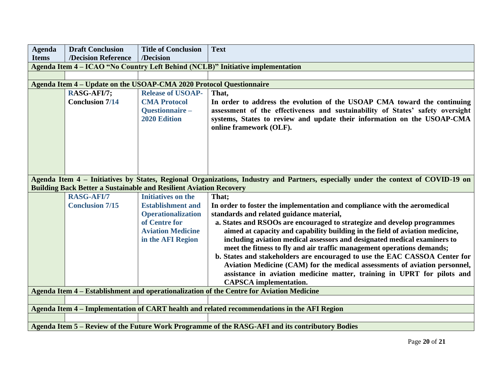| <b>Agenda</b>                                                                                   | <b>Draft Conclusion</b>                                                   | <b>Title of Conclusion</b>                                                                | <b>Text</b>                                                                                                                                                                                                                                                               |  |  |  |  |
|-------------------------------------------------------------------------------------------------|---------------------------------------------------------------------------|-------------------------------------------------------------------------------------------|---------------------------------------------------------------------------------------------------------------------------------------------------------------------------------------------------------------------------------------------------------------------------|--|--|--|--|
| <b>Items</b>                                                                                    | /Decision Reference                                                       | /Decision                                                                                 |                                                                                                                                                                                                                                                                           |  |  |  |  |
|                                                                                                 |                                                                           |                                                                                           | Agenda Item 4 - ICAO "No Country Left Behind (NCLB)" Initiative implementation                                                                                                                                                                                            |  |  |  |  |
|                                                                                                 |                                                                           |                                                                                           |                                                                                                                                                                                                                                                                           |  |  |  |  |
|                                                                                                 | Agenda Item 4 – Update on the USOAP-CMA 2020 Protocol Questionnaire       |                                                                                           |                                                                                                                                                                                                                                                                           |  |  |  |  |
|                                                                                                 | RASG-AFI/7;<br><b>Conclusion 7/14</b>                                     | <b>Release of USOAP-</b><br><b>CMA Protocol</b><br>Questionnaire -<br><b>2020 Edition</b> | That,<br>In order to address the evolution of the USOAP CMA toward the continuing<br>assessment of the effectiveness and sustainability of States' safety oversight<br>systems, States to review and update their information on the USOAP-CMA<br>online framework (OLF). |  |  |  |  |
|                                                                                                 | <b>Building Back Better a Sustainable and Resilient Aviation Recovery</b> |                                                                                           | Agenda Item 4 – Initiatives by States, Regional Organizations, Industry and Partners, especially under the context of COVID-19 on                                                                                                                                         |  |  |  |  |
|                                                                                                 | RASG-AFI/7                                                                | Initiatives on the                                                                        | That;                                                                                                                                                                                                                                                                     |  |  |  |  |
|                                                                                                 | <b>Conclusion 7/15</b>                                                    | <b>Establishment and</b>                                                                  | In order to foster the implementation and compliance with the aeromedical                                                                                                                                                                                                 |  |  |  |  |
|                                                                                                 |                                                                           | <b>Operationalization</b>                                                                 | standards and related guidance material,                                                                                                                                                                                                                                  |  |  |  |  |
|                                                                                                 |                                                                           | of Centre for                                                                             | a. States and RSOOs are encouraged to strategize and develop programmes                                                                                                                                                                                                   |  |  |  |  |
|                                                                                                 |                                                                           | <b>Aviation Medicine</b>                                                                  | aimed at capacity and capability building in the field of aviation medicine,                                                                                                                                                                                              |  |  |  |  |
|                                                                                                 |                                                                           | in the AFI Region                                                                         | including aviation medical assessors and designated medical examiners to                                                                                                                                                                                                  |  |  |  |  |
|                                                                                                 |                                                                           |                                                                                           | meet the fitness to fly and air traffic management operations demands;<br>b. States and stakeholders are encouraged to use the EAC CASSOA Center for                                                                                                                      |  |  |  |  |
|                                                                                                 |                                                                           |                                                                                           | Aviation Medicine (CAM) for the medical assessments of aviation personnel,<br>assistance in aviation medicine matter, training in UPRT for pilots and<br><b>CAPSCA</b> implementation.                                                                                    |  |  |  |  |
| Agenda Item 4 - Establishment and operationalization of the Centre for Aviation Medicine        |                                                                           |                                                                                           |                                                                                                                                                                                                                                                                           |  |  |  |  |
|                                                                                                 |                                                                           |                                                                                           |                                                                                                                                                                                                                                                                           |  |  |  |  |
|                                                                                                 |                                                                           |                                                                                           | Agenda Item 4 – Implementation of CART health and related recommendations in the AFI Region                                                                                                                                                                               |  |  |  |  |
|                                                                                                 |                                                                           |                                                                                           |                                                                                                                                                                                                                                                                           |  |  |  |  |
| Agenda Item 5 - Review of the Future Work Programme of the RASG-AFI and its contributory Bodies |                                                                           |                                                                                           |                                                                                                                                                                                                                                                                           |  |  |  |  |